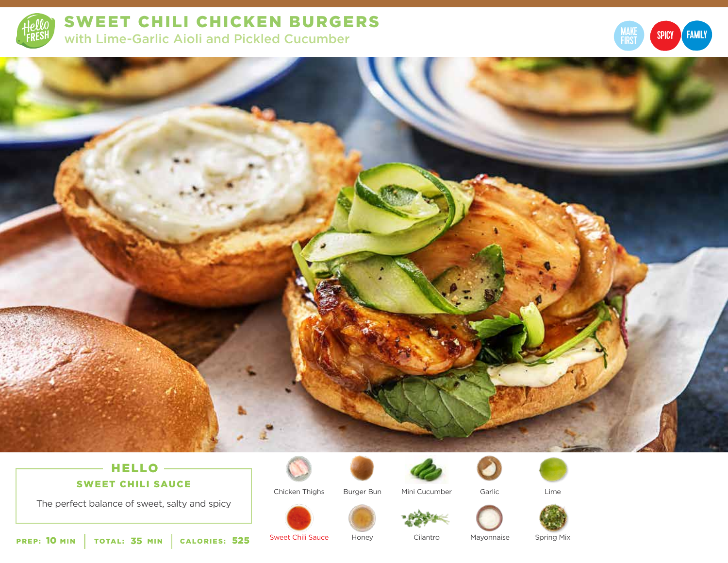

SWEET CHILI CHICKEN BURGERS with Lime-Garlic Aioli and Pickled Cucumber





## HELLO -SWEET CHILI SAUCE

The perfect balance of sweet, salty and spicy



Chicken Thighs

Burger Bun Mini Cucumber Garlic



Lime



PREP: 10 MIN | TOTAL: 35 MIN | CALORIES:

525 Sweet Chili Sauce Honey Cilantro

Honey Cilantro Mayonnaise

Spring Mix